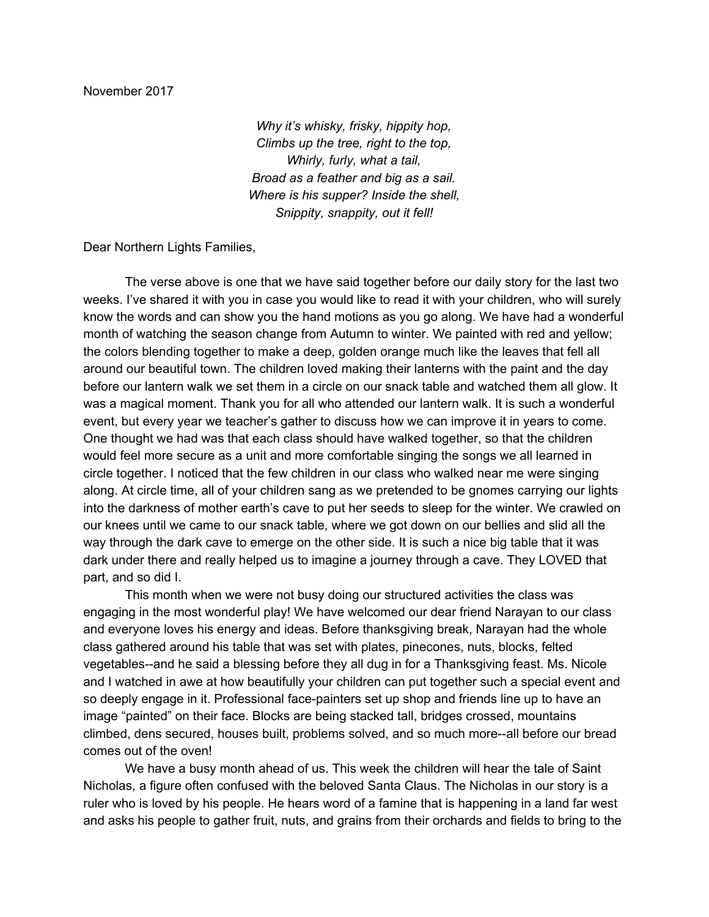*Why it's whisky, frisky, hippity hop, Climbs up the tree, right to the top, Whirly, furly, what a tail, Broad as a feather and big as a sail. Where is his supper? Inside the shell, Snippity, snappity, out it fell!*

Dear Northern Lights Families,

The verse above is one that we have said together before our daily story for the last two weeks. I've shared it with you in case you would like to read it with your children, who will surely know the words and can show you the hand motions as you go along. We have had a wonderful month of watching the season change from Autumn to winter. We painted with red and yellow; the colors blending together to make a deep, golden orange much like the leaves that fell all around our beautiful town. The children loved making their lanterns with the paint and the day before our lantern walk we set them in a circle on our snack table and watched them all glow. It was a magical moment. Thank you for all who attended our lantern walk. It is such a wonderful event, but every year we teacher's gather to discuss how we can improve it in years to come. One thought we had was that each class should have walked together, so that the children would feel more secure as a unit and more comfortable singing the songs we all learned in circle together. I noticed that the few children in our class who walked near me were singing along. At circle time, all of your children sang as we pretended to be gnomes carrying our lights into the darkness of mother earth's cave to put her seeds to sleep for the winter. We crawled on our knees until we came to our snack table, where we got down on our bellies and slid all the way through the dark cave to emerge on the other side. It is such a nice big table that it was dark under there and really helped us to imagine a journey through a cave. They LOVED that part, and so did I.

This month when we were not busy doing our structured activities the class was engaging in the most wonderful play! We have welcomed our dear friend Narayan to our class and everyone loves his energy and ideas. Before thanksgiving break, Narayan had the whole class gathered around his table that was set with plates, pinecones, nuts, blocks, felted vegetables--and he said a blessing before they all dug in for a Thanksgiving feast. Ms. Nicole and I watched in awe at how beautifully your children can put together such a special event and so deeply engage in it. Professional face-painters set up shop and friends line up to have an image "painted" on their face. Blocks are being stacked tall, bridges crossed, mountains climbed, dens secured, houses built, problems solved, and so much more--all before our bread comes out of the oven!

We have a busy month ahead of us. This week the children will hear the tale of Saint Nicholas, a figure often confused with the beloved Santa Claus. The Nicholas in our story is a ruler who is loved by his people. He hears word of a famine that is happening in a land far west and asks his people to gather fruit, nuts, and grains from their orchards and fields to bring to the